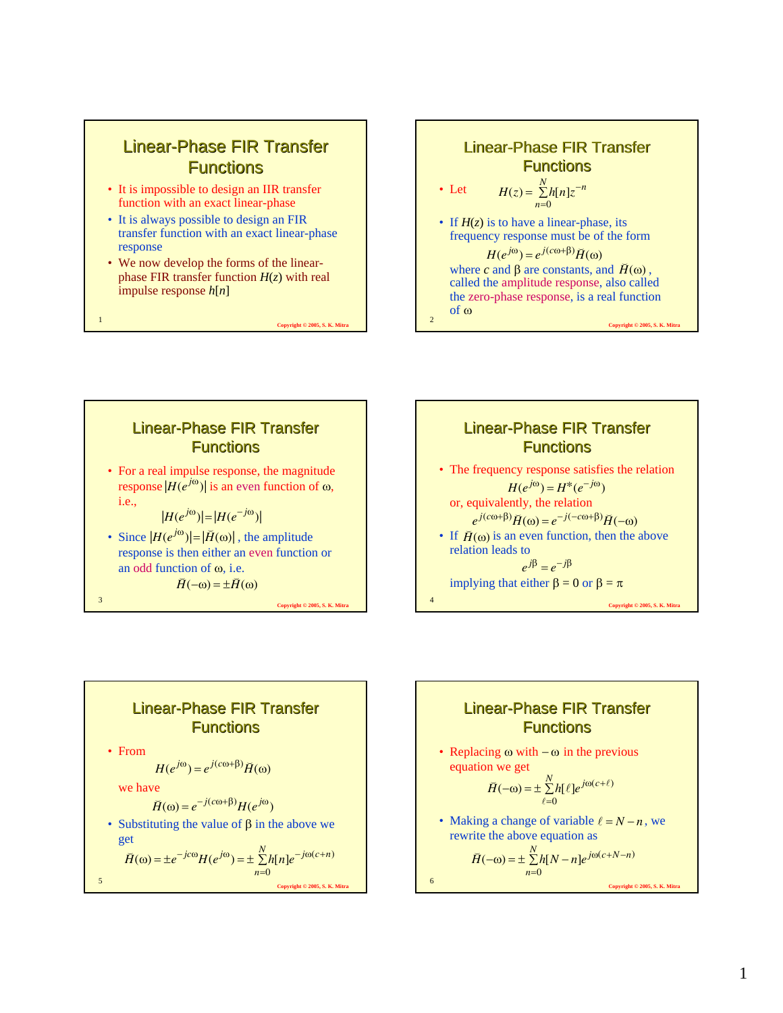

- It is impossible to design an IIR transfer function with an exact linear-phase
- It is always possible to design an FIR transfer function with an exact linear-phase response
- We now develop the forms of the linearphase FIR transfer function *H*(*z*) with real impulse response *h*[*n*]

<sup>1</sup> **Copyright © 2005, S. K. Mitra**











• Replacing  $\omega$  with  $-\omega$  in the previous equation we get

$$
\breve{H}(-\omega) = \pm \sum_{\ell=0}^{N} h[\ell] e^{j\omega(c+\ell)}
$$

• Making a change of variable  $\ell = N - n$ , we rewrite the above equation as

$$
\breve{H}(-\omega) = \pm \sum_{n=0}^{N} h[N-n] e^{j\omega(c+N-n)}
$$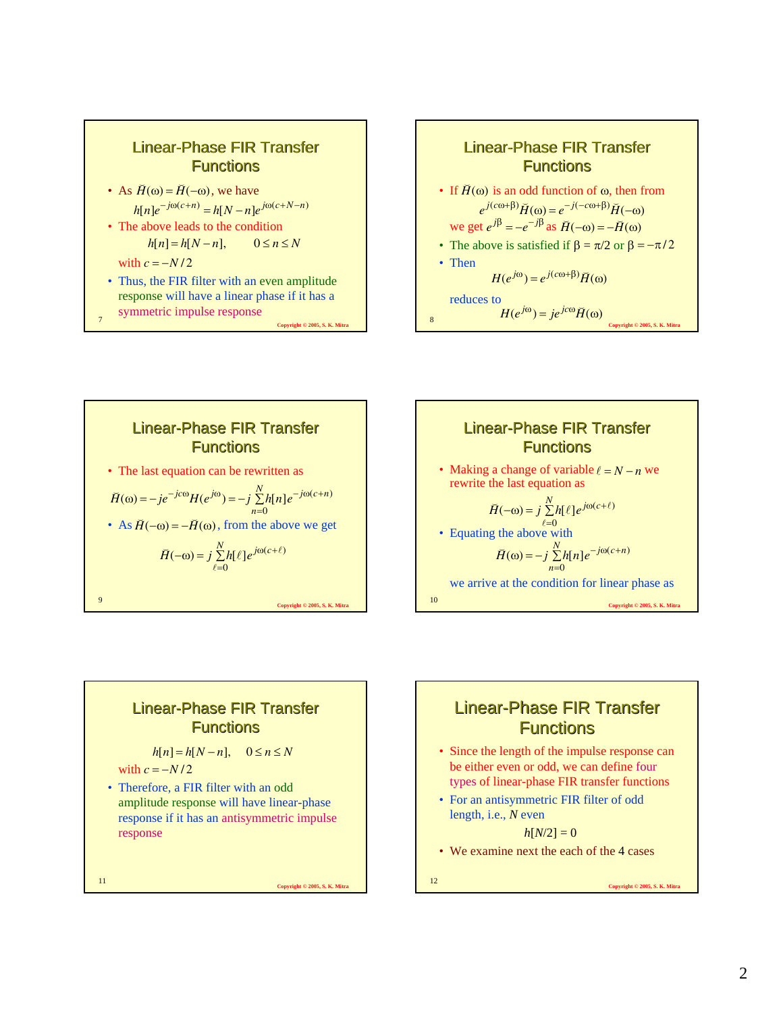







$$
h[n] = h[N - n], \quad 0 \le n \le N
$$

with  $c = -N/2$ 

• Therefore, a FIR filter with an odd amplitude response will have linear-phase response if it has an antisymmetric impulse response

<sup>11</sup> **Copyright © 2005, S. K. Mitra**

#### Linear-Phase FIR Transfer **Functions**

- Since the length of the impulse response can be either even or odd, we can define four types of linear-phase FIR transfer functions
- For an antisymmetric FIR filter of odd length, i.e., *N* even

 $h[N/2] = 0$ 

• We examine next the each of the 4 cases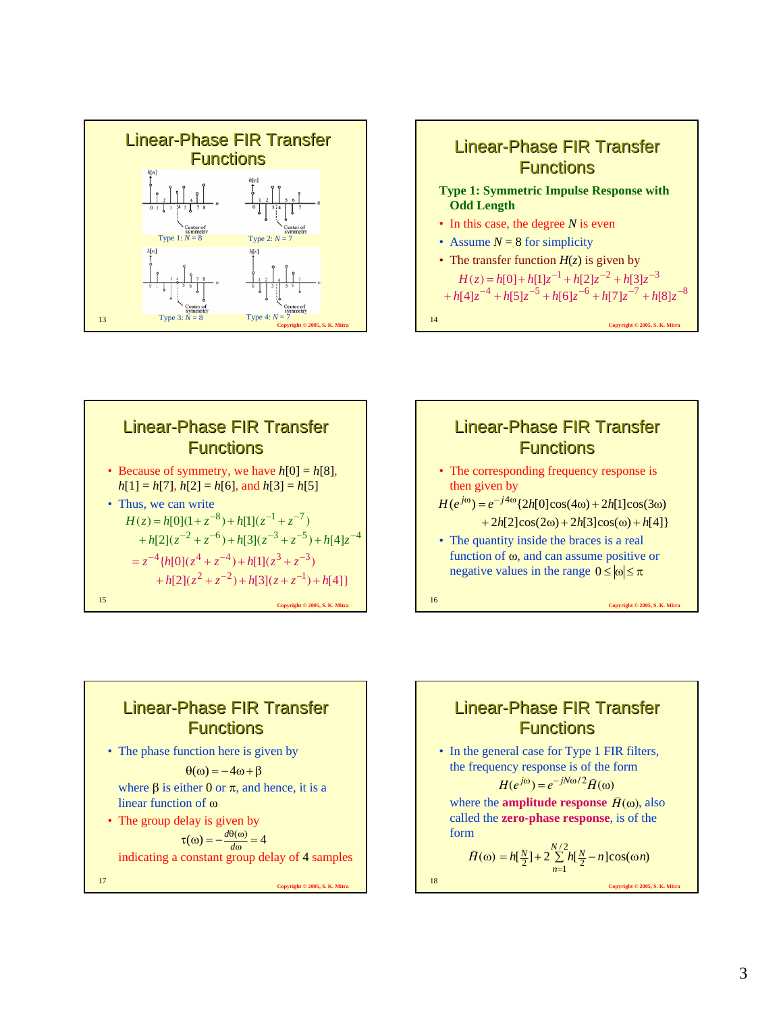









where  $\beta$  is either 0 or  $\pi$ , and hence, it is a linear function of ω  $\theta(\omega) = -4\omega + \beta$ 

• The group delay is given by indicating a constant group delay of 4 samples  $\tau(\omega) = -\frac{d\theta(\omega)}{d\omega} = 4$ *d d*

<sup>17</sup> **Copyright © 2005, S. K. Mitra**

Linear-Phase FIR Transfer **Functions** 

• In the general case for Type 1 FIR filters, the frequency response is of the form

$$
H(e^{j\omega}) = e^{-jN\omega/2} \tilde{H}(\omega)
$$

where the **amplitude response**  $\check{H}(\omega)$ , also called the **zero-phase response**, is of the form

$$
\breve{H}(\omega) = h[\frac{N}{2}] + 2\sum_{n=1}^{N/2} h[\frac{N}{2} - n]\cos(\omega n)
$$
  
18  
Coovright 2005, S. K. Mitz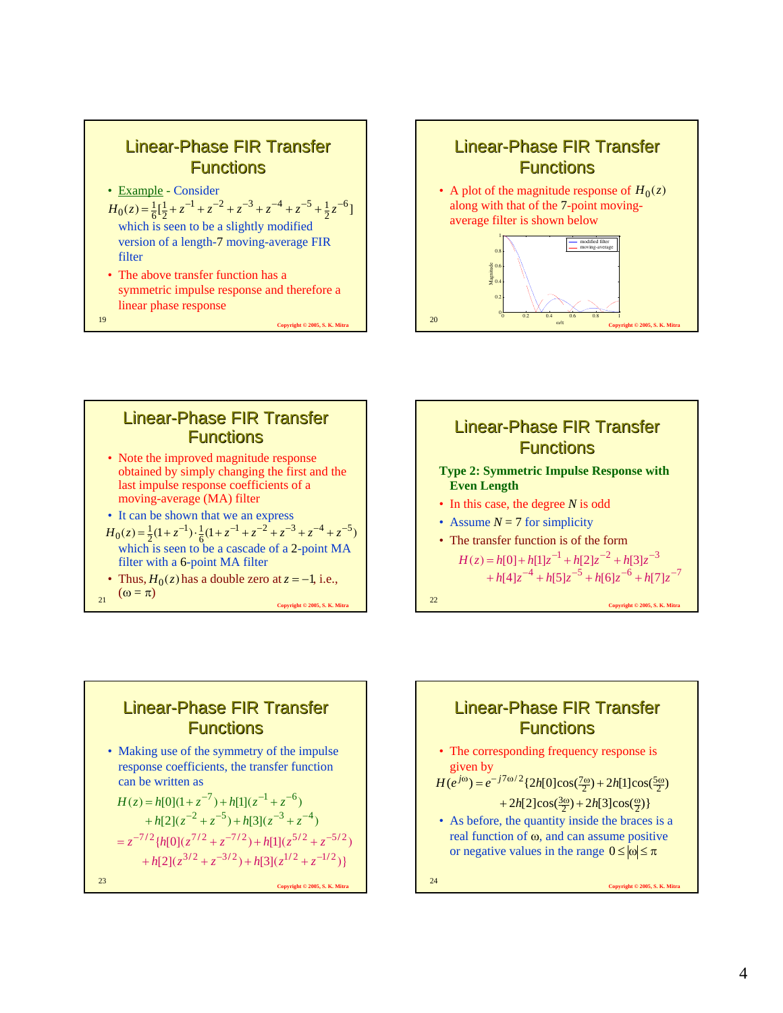







• Making use of the symmetry of the impulse response coefficients, the transfer function can be written as

$$
H(z) = h[0](1 + z^{-7}) + h[1](z^{-1} + z^{-6})
$$
  
+ h[2](z^{-2} + z^{-5}) + h[3](z^{-3} + z^{-4})  
= z^{-7/2} \{h[0](z^{7/2} + z^{-7/2}) + h[1](z^{5/2} + z^{-5/2})  
+ h[2](z^{3/2} + z^{-3/2}) + h[3](z^{1/2} + z^{-1/2})\}  
23  
Correlated 2 2005, S. K. Mira

## Linear-Phase FIR Transfer **Functions** • The corresponding frequency response is given by • As before, the quantity inside the braces is a real function of  $\omega$ , and can assume positive or negative values in the range  $0 \le |\omega| \le \pi$  $H(e^{j\omega}) = e^{-j7\omega/2} \left\{ 2h[0]\cos(\frac{7\omega}{2}) + 2h[1]\cos(\frac{5\omega}{2}) \right\}$  $+ 2h[2]\cos(\frac{3\omega}{2}) + 2h[3]\cos(\frac{\omega}{2})$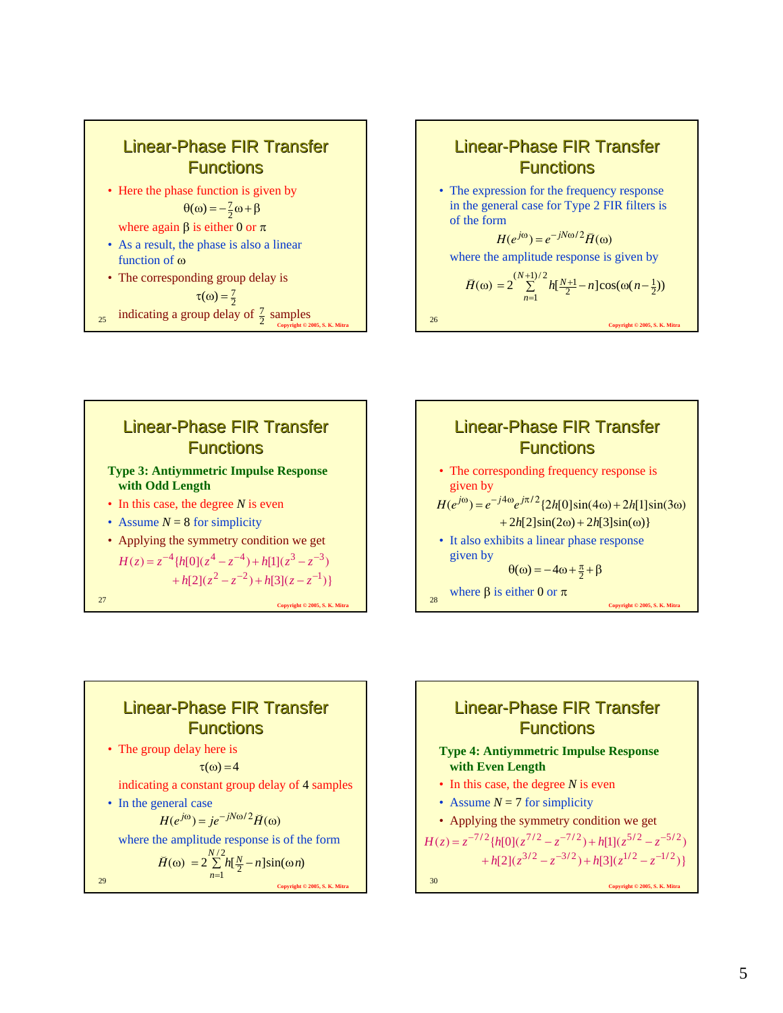

• The expression for the frequency response in the general case for Type 2 FIR filters is of the form

 $H(e^{j\omega}) = e^{-jN\omega/2} \tilde{H}(\omega)$ 

where the amplitude response is given by

$$
\widetilde{H}(\omega) = 2 \sum_{n=1}^{(N+1)/2} h[\frac{N+1}{2} - n] \cos(\omega(n-\frac{1}{2}))
$$

<sup>26</sup> **Copyright © 2005, S. K. Mitra**





# Linear-Phase FIR Transfer **Functions**

• The group delay here is

 $\tau(\omega) = 4$ 

indicating a constant group delay of 4 samples

• In the general case  $H(e^{j\omega}) = ie^{-jN\omega/2}H(\omega)$ 

*n*

where the amplitude response is of the form  $\widetilde{H}(\omega) = 2 \sum_{n=1}^{N/2} h[\frac{N}{2} - n] \sin(\omega)$  $2\sum_{n=1}^{N/2}h[\frac{N}{2}-n]\sin(\omega n)$  $h[\frac{N}{2} - n]$ sin( $\omega n$ 

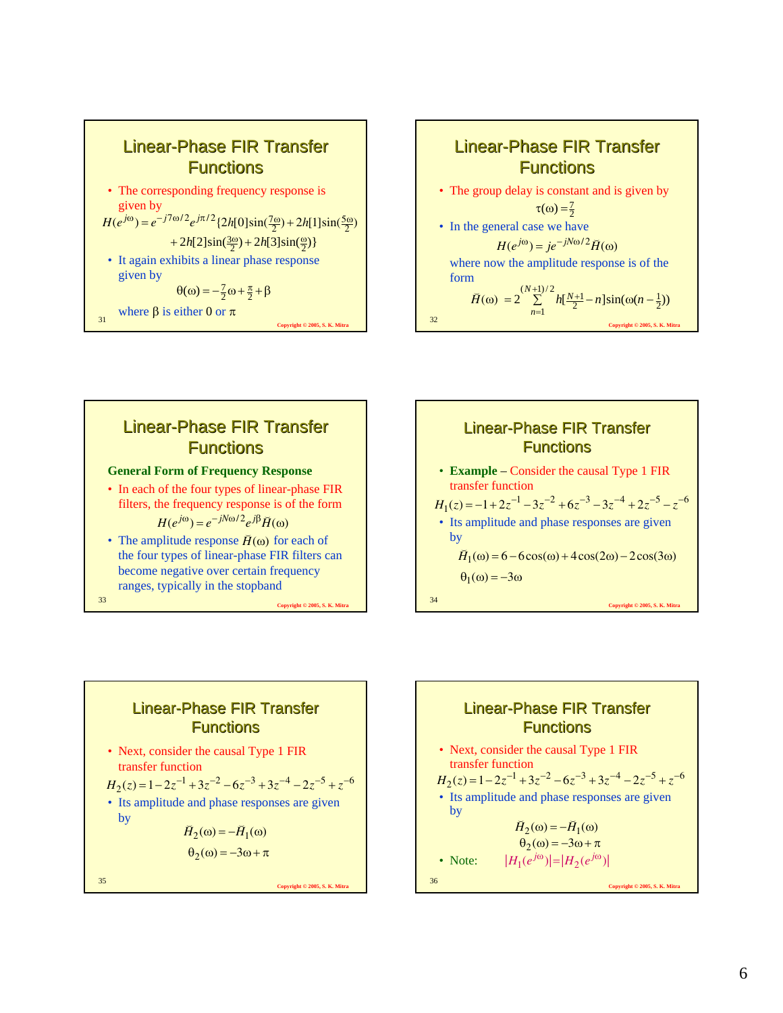









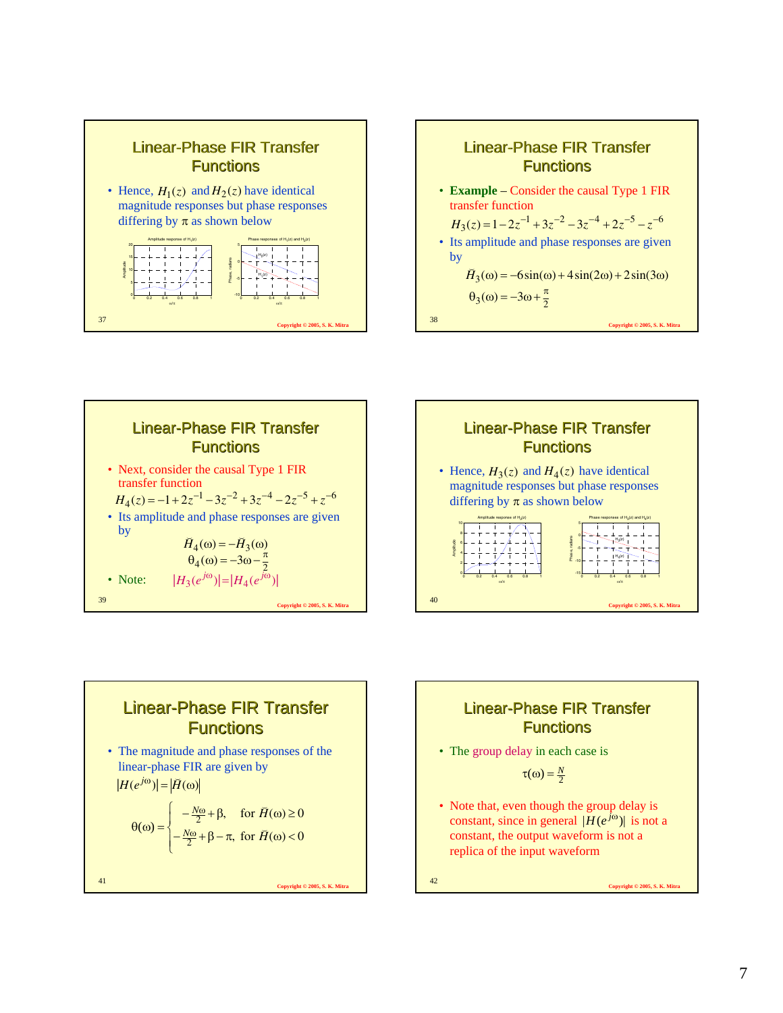







<sup>41</sup> **Copyright © 2005, S. K. Mitra** • The magnitude and phase responses of the linear-phase FIR are given by  $|H(e^{j\omega})| = |\tilde{H}(\omega)|$  $\overline{\mathcal{L}}$ ⎪ ⎨  $\left($  $\theta(\omega) = \begin{cases} -\frac{N\omega}{2} + \beta - \pi, & \text{for } H(\omega) < 0 \end{cases}$ , for  $\bar{H}(\omega) \ge 0$ 2 2  $-\frac{N\omega}{2} + \beta - \pi$ , for  $\bar{H}(\omega)$  $-\frac{N\omega}{2} + \beta$ , for  $\overline{H}(\omega) \ge$ ω ω *H H N N* ŭ ŭ

#### Linear-Phase FIR Transfer **Functions**

• The group delay in each case is

$$
\tau(\omega) = \frac{N}{2}
$$

• Note that, even though the group delay is constant, since in general  $|H(e^{j\omega})|$  is not a constant, the output waveform is not a replica of the input waveform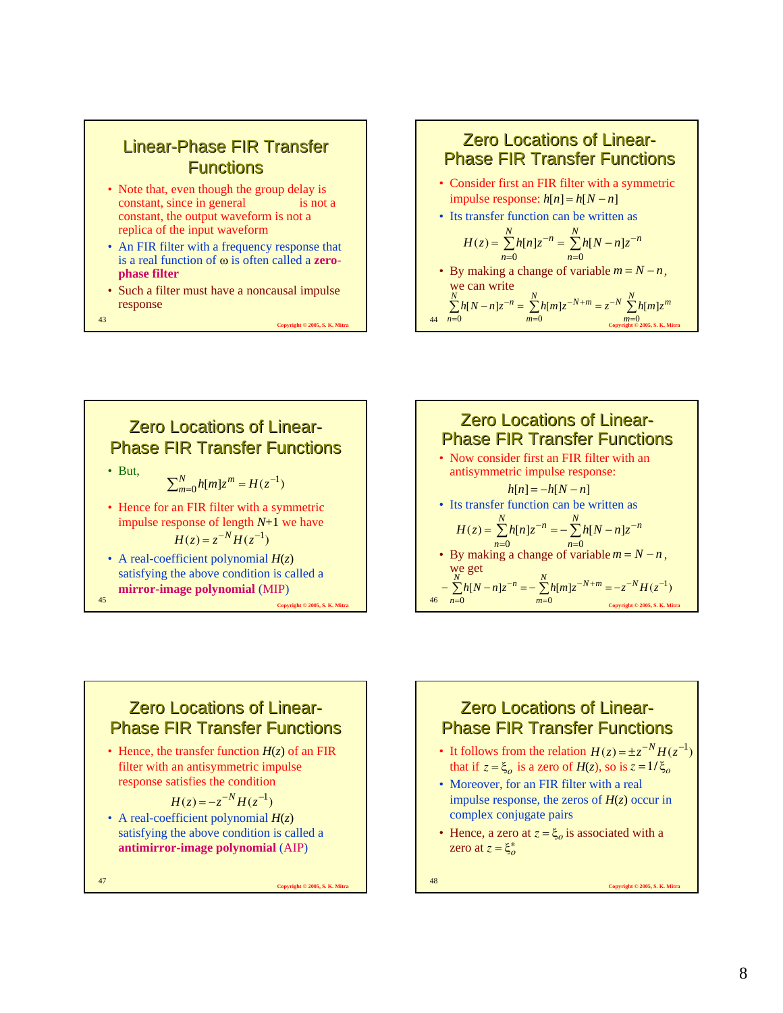- Note that, even though the group delay is constant, since in general is not a constant, the output waveform is not a replica of the input waveform
- An FIR filter with a frequency response that is a real function of ω is often called a **zerophase filter**
- Such a filter must have a noncausal impulse response

<sup>43</sup> **Copyright © 2005, S. K. Mitra**

#### **Zero Locations of Linear-Phase FIR Transfer Functions**

- Consider first an FIR filter with a symmetric  $\text{impulse response: } h[n] = h[N - n]$
- Its transfer function can be written as

$$
H(z) = \sum_{n=0}^{N} h[n]z^{-n} = \sum_{n=0}^{N} h[N-n]z^{-n}
$$

• By making a change of variable  $m = N - n$ , we can write

$$
\sum_{n=0}^{N} h[N-n]z^{-n} = \sum_{m=0}^{N} h[m]z^{-N+m} = z^{-N} \sum_{\substack{m=0 \text{symmetry} \\ \text{Copriak 0 2005, S. K. Mirn}}}
$$



**Zero Locations of Linear-Phase FIR Transfer Functions** • Now consider first an FIR filter with an antisymmetric impulse response: • Its transfer function can be written as • By making a change of variable  $m = N - n$ , we get  $h[n] = -h[N - n]$  $\sum h[n]z^{-n} = -\sum$ = − =  $=\sum_{n=0}^{N}h[n]z^{-n}=-\sum_{n=0}^{N}h[N-1]$ *n*  $\sum_{i=1}^{N} h[n]z^{-n} = \sum_{i=1}^{N} h[N] - n!z^{-n}$ *n*  $H(z) = \sum_{n=1}^{N} h[n]z^{-n} = -\sum_{n=1}^{N} h[N-n]z$  $n=0$  $(z) = \sum h[n] z^{-n} = - \sum h[N - n]$  $[N-n]z^{-n} = -\sum_{m=1}^{N} h[m]z^{-N+m} = -z^{-N}H(z^{-1})$  $-N_{\mathbf{H}t}$  –  $-N+$  $-\sum_{n=0}^{N} h[N-n]z^{-n} = -\sum_{m=0}^{N} h[m]z^{-N+m} = -z^{-N}H(z)$  $\sum_{i=1}^{N} h[X_i]$   $n \geq 0$   $\sum_{i=1}^{N} h[m] z^{-N+m}$ *n m* = *N* − *n*

 $m=0$  **Copyright © 2005, S. K. Mitra** 

=

*m*

 $m=0$ 

*n*

## **Zero Locations of Linear-Phase FIR Transfer Functions**

• Hence, the transfer function  $H(z)$  of an FIR filter with an antisymmetric impulse response satisfies the condition

$$
H(z) = -z^{-N}H(z^{-1})
$$

• A real-coefficient polynomial *H*(*z*) satisfying the above condition is called a **antimirror-image polynomial** (AIP)

<sup>47</sup> **Copyright © 2005, S. K. Mitra**

## **Zero Locations of Linear-Phase FIR Transfer Functions**

- It follows from the relation  $H(z) = \pm z^{-N} H(z^{-1})$ that if  $z = \xi_o$  is a zero of  $H(z)$ , so is  $z = 1/\xi_o$
- Moreover, for an FIR filter with a real impulse response, the zeros of  $H(z)$  occur in complex conjugate pairs
- Hence, a zero at  $z = \xi_o$  is associated with a zero at  $z = \xi_o^*$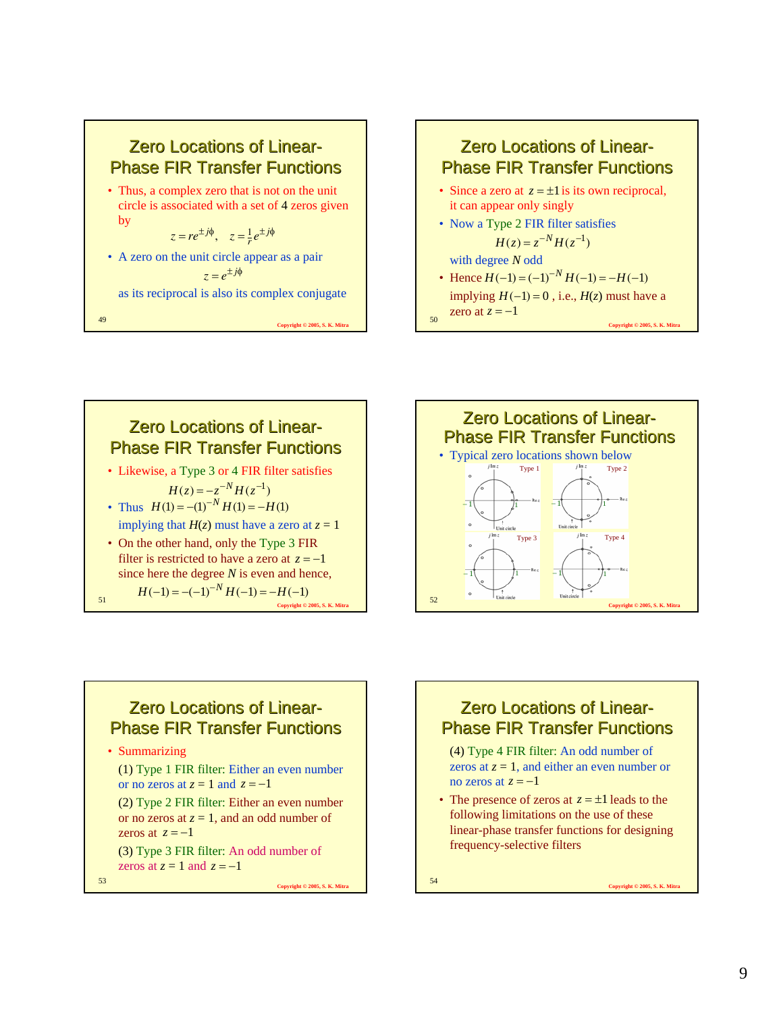



**Zero Locations of Linear-Phase FIR Transfer Functions** • Likewise, a Type 3 or 4 FIR filter satisfies • Thus  $H(1) = -(1)^{-N} H(1) = -H(1)$ implying that  $H(z)$  must have a zero at  $z = 1$ • On the other hand, only the Type 3 FIR filter is restricted to have a zero at  $z = -1$ since here the degree *N* is even and hence,  $H(z) = -z^{-N}H(z^{-1})$  $H(-1) = -(-1)^{-N} H(-1) = -H(-1)$ 

<sup>51</sup> **Copyright © 2005, S. K. Mitra**



#### **Zero Locations of Linear-Phase FIR Transfer Functions**

• Summarizing

(1) Type 1 FIR filter: Either an even number or no zeros at  $z = 1$  and  $z = -1$ (2) Type 2 FIR filter: Either an even number or no zeros at  $z = 1$ , and an odd number of zeros at  $z = -1$ (3) Type 3 FIR filter: An odd number of

zeros at  $z = 1$  and  $z = -1$ 

<sup>53</sup> **Copyright © 2005, S. K. Mitra**

#### **Zero Locations of Linear-Phase FIR Transfer Functions**

- (4) Type 4 FIR filter: An odd number of zeros at  $z = 1$ , and either an even number or no zeros at  $z = -1$
- The presence of zeros at  $z = \pm 1$  leads to the following limitations on the use of these linear-phase transfer functions for designing frequency-selective filters